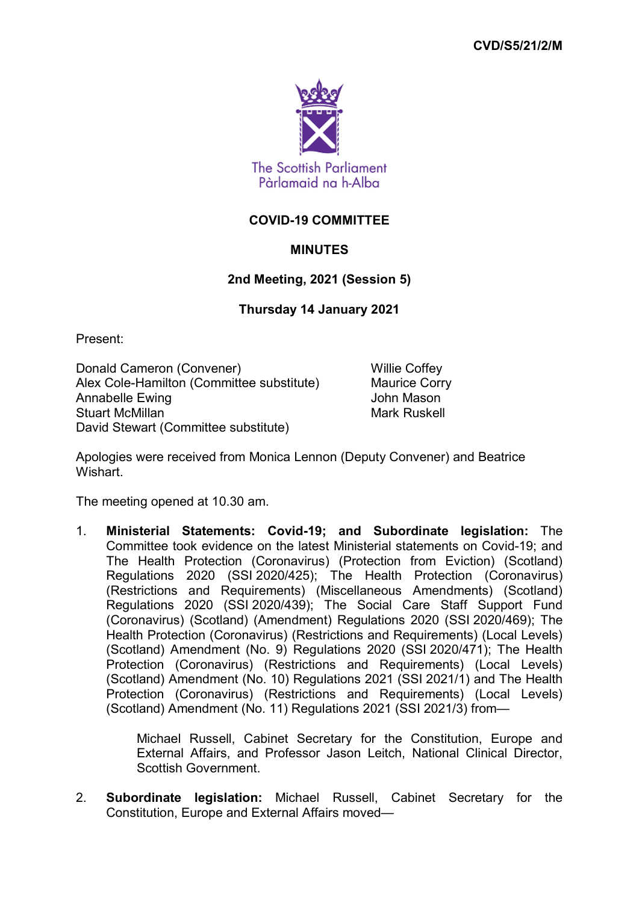

## **COVID-19 COMMITTEE**

## **MINUTES**

## **2nd Meeting, 2021 (Session 5)**

## **Thursday 14 January 2021**

Present:

Donald Cameron (Convener) Willie Coffey Alex Cole-Hamilton (Committee substitute) Maurice Corry Annabelle Ewing **Communist Communist Communist Communist Communist Communist Communist Communist Communist Communist Communist Communist Communist Communist Communist Communist Communist Communist Communist Communist Commu** Stuart McMillan Mark Ruskell Mark Ruskell David Stewart (Committee substitute)

Apologies were received from Monica Lennon (Deputy Convener) and Beatrice Wishart.

The meeting opened at 10.30 am.

1. **Ministerial Statements: Covid-19; and Subordinate legislation:** The Committee took evidence on the latest Ministerial statements on Covid-19; and The Health Protection (Coronavirus) (Protection from Eviction) (Scotland) Regulations 2020 (SSI 2020/425); The Health Protection (Coronavirus) (Restrictions and Requirements) (Miscellaneous Amendments) (Scotland) Regulations 2020 (SSI 2020/439); The Social Care Staff Support Fund (Coronavirus) (Scotland) (Amendment) Regulations 2020 (SSI 2020/469); The Health Protection (Coronavirus) (Restrictions and Requirements) (Local Levels) (Scotland) Amendment (No. 9) Regulations 2020 (SSI 2020/471); The Health Protection (Coronavirus) (Restrictions and Requirements) (Local Levels) (Scotland) Amendment (No. 10) Regulations 2021 (SSI 2021/1) and The Health Protection (Coronavirus) (Restrictions and Requirements) (Local Levels) (Scotland) Amendment (No. 11) Regulations 2021 (SSI 2021/3) from—

> Michael Russell, Cabinet Secretary for the Constitution, Europe and External Affairs, and Professor Jason Leitch, National Clinical Director, Scottish Government.

2. **Subordinate legislation:** Michael Russell, Cabinet Secretary for the Constitution, Europe and External Affairs moved